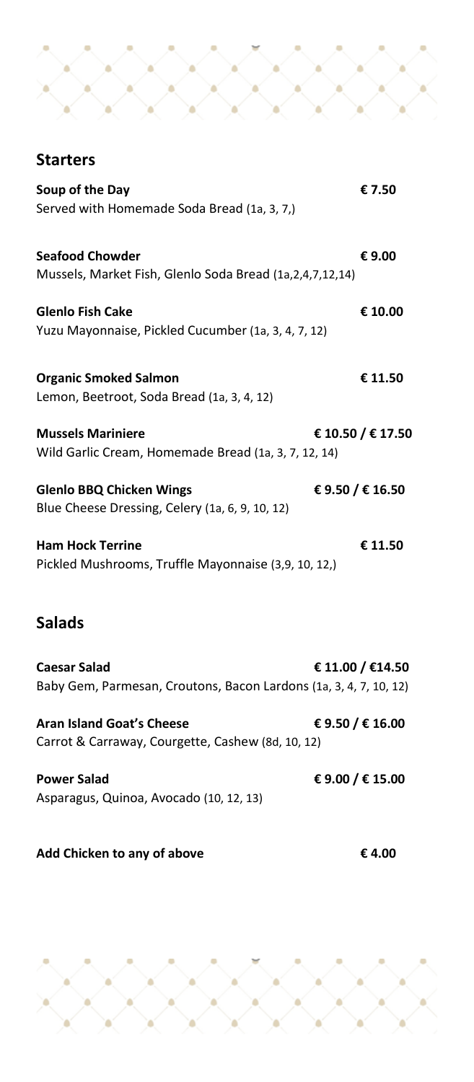## **Starters**

| Soup of the Day                                                                          | € 7.50            |
|------------------------------------------------------------------------------------------|-------------------|
| Served with Homemade Soda Bread (1a, 3, 7,)                                              |                   |
| <b>Seafood Chowder</b><br>Mussels, Market Fish, Glenlo Soda Bread (1a, 2, 4, 7, 12, 14)  | € 9.00            |
| <b>Glenlo Fish Cake</b><br>Yuzu Mayonnaise, Pickled Cucumber (1a, 3, 4, 7, 12)           | € 10.00           |
| <b>Organic Smoked Salmon</b><br>Lemon, Beetroot, Soda Bread (1a, 3, 4, 12)               | € 11.50           |
| <b>Mussels Mariniere</b><br>Wild Garlic Cream, Homemade Bread (1a, 3, 7, 12, 14)         | € 10.50 / € 17.50 |
| <b>Glenlo BBQ Chicken Wings</b><br>Blue Cheese Dressing, Celery (1a, 6, 9, 10, 12)       | € 9.50 / € 16.50  |
| <b>Ham Hock Terrine</b><br>Pickled Mushrooms, Truffle Mayonnaise (3,9, 10, 12,)          | € 11.50           |
| <b>Salads</b>                                                                            |                   |
| <b>Caesar Salad</b><br>Baby Gem, Parmesan, Croutons, Bacon Lardons (1a, 3, 4, 7, 10, 12) | € 11.00 / €14.50  |
| Aran Island Goat's Cheese<br>Carrot & Carraway, Courgette, Cashew (8d, 10, 12)           | € 9.50 / € 16.00  |
| <b>Power Salad</b><br>Asparagus, Quinoa, Avocado (10, 12, 13)                            | € 9.00 / € 15.00  |

**Add Chicken to any of above € 4.00**

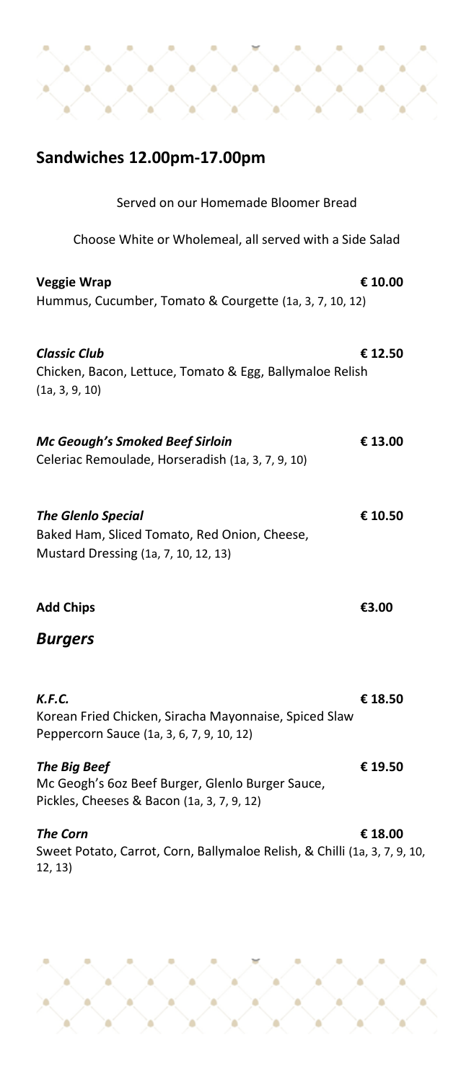# **Sandwiches 12.00pm-17.00pm** Served on our Homemade Bloomer Bread Choose White or Wholemeal, all served with a Side Salad **Veggie Wrap € 10.00** Hummus, Cucumber, Tomato & Courgette (1a, 3, 7, 10, 12) *Classic Club* **€ 12.50** Chicken, Bacon, Lettuce, Tomato & Egg, Ballymaloe Relish (1a, 3, 9, 10) *Mc Geough's Smoked Beef Sirloin* **€ 13.00** Celeriac Remoulade, Horseradish (1a, 3, 7, 9, 10) *The Glenlo Special* **€ 10.50** Baked Ham, Sliced Tomato, Red Onion, Cheese, Mustard Dressing (1a, 7, 10, 12, 13) **Add Chips €3.00**  *Burgers K.F.C.* **€ 18.50** Korean Fried Chicken, Siracha Mayonnaise, Spiced Slaw Peppercorn Sauce (1a, 3, 6, 7, 9, 10, 12) *The Big Beef* **€ 19.50** Mc Geogh's 6oz Beef Burger, Glenlo Burger Sauce, Pickles, Cheeses & Bacon (1a, 3, 7, 9, 12) *The Corn* **€ 18.00** Sweet Potato, Carrot, Corn, Ballymaloe Relish, & Chilli (1a, 3, 7, 9, 10, 12, 13)

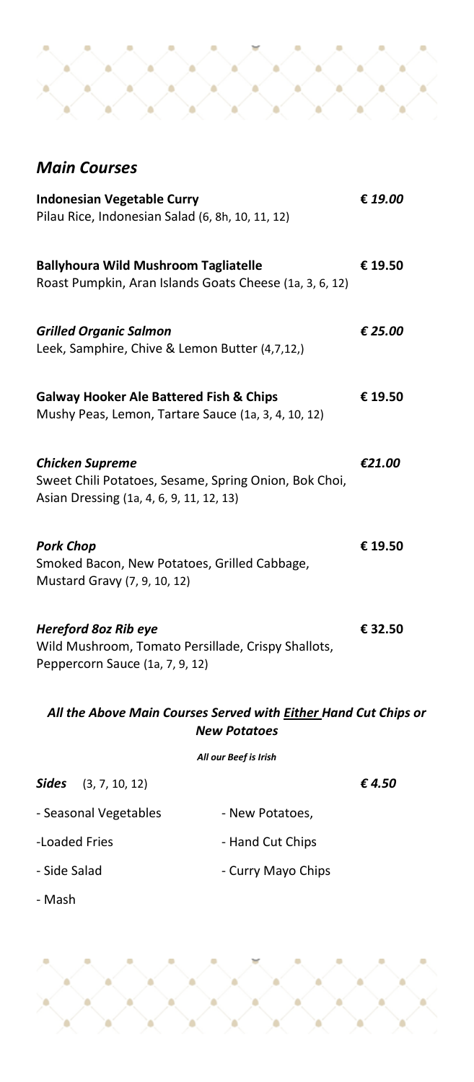## *Main Courses*

| <b>Indonesian Vegetable Curry</b><br>Pilau Rice, Indonesian Salad (6, 8h, 10, 11, 12)                                       | € 19.00 |
|-----------------------------------------------------------------------------------------------------------------------------|---------|
| <b>Ballyhoura Wild Mushroom Tagliatelle</b><br>Roast Pumpkin, Aran Islands Goats Cheese (1a, 3, 6, 12)                      | € 19.50 |
| <b>Grilled Organic Salmon</b><br>Leek, Samphire, Chive & Lemon Butter (4,7,12,)                                             | € 25.00 |
| <b>Galway Hooker Ale Battered Fish &amp; Chips</b><br>Mushy Peas, Lemon, Tartare Sauce (1a, 3, 4, 10, 12)                   | € 19.50 |
| <b>Chicken Supreme</b><br>Sweet Chili Potatoes, Sesame, Spring Onion, Bok Choi,<br>Asian Dressing (1a, 4, 6, 9, 11, 12, 13) | €21.00  |
| <b>Pork Chop</b><br>Smoked Bacon, New Potatoes, Grilled Cabbage,<br>Mustard Gravy (7, 9, 10, 12)                            | € 19.50 |
| <b>Hereford 8oz Rib eye</b><br>Wild Mushroom, Tomato Persillade, Crispy Shallots,<br>Peppercorn Sauce (1a, 7, 9, 12)        | € 32.50 |

### *All the Above Main Courses Served with Either Hand Cut Chips or New Potatoes*

*All our Beef is Irish*

| <b>Sides</b> $(3, 7, 10, 12)$ |                    | € 4.50 |
|-------------------------------|--------------------|--------|
| - Seasonal Vegetables         | - New Potatoes,    |        |
| -Loaded Fries                 | - Hand Cut Chips   |        |
| - Side Salad                  | - Curry Mayo Chips |        |

- Mash